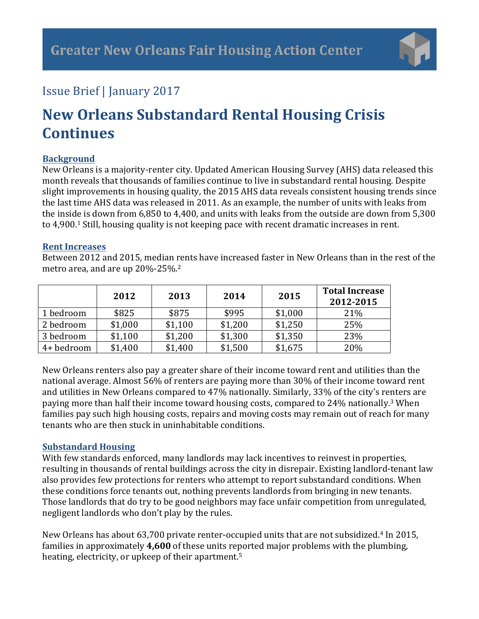

### Issue Brief | January 2017

# **New Orleans Substandard Rental Housing Crisis Continues**

#### **Background**

New Orleans is a majority-renter city. Updated American Housing Survey (AHS) data released this month reveals that thousands of families continue to live in substandard rental housing. Despite slight improvements in housing quality, the 2015 AHS data reveals consistent housing trends since the last time AHS data was released in 2011. As an example, the number of units with leaks from the inside is down from  $6,850$  to  $4,400$ , and units with leaks from the outside are down from  $5,300$ to 4,900.<sup>1</sup> Still, housing quality is not keeping pace with recent dramatic increases in rent.

#### **Rent Increases**

Between 2012 and 2015, median rents have increased faster in New Orleans than in the rest of the metro area, and are up  $20\% - 25\%$ .<sup>2</sup>

|            | 2012    | 2013    | 2014    | 2015    | <b>Total Increase</b><br>2012-2015 |
|------------|---------|---------|---------|---------|------------------------------------|
| 1 bedroom  | \$825   | \$875   | \$995   | \$1,000 | 21%                                |
| 2 bedroom  | \$1,000 | \$1,100 | \$1,200 | \$1,250 | 25%                                |
| 3 bedroom  | \$1,100 | \$1,200 | \$1,300 | \$1,350 | 23%                                |
| 4+ bedroom | \$1,400 | \$1,400 | \$1,500 | \$1,675 | 20%                                |

New Orleans renters also pay a greater share of their income toward rent and utilities than the national average. Almost 56% of renters are paying more than 30% of their income toward rent and utilities in New Orleans compared to 47% nationally. Similarly, 33% of the city's renters are paying more than half their income toward housing costs, compared to 24% nationally.<sup>3</sup> When families pay such high housing costs, repairs and moving costs may remain out of reach for many tenants who are then stuck in uninhabitable conditions.

#### **Substandard Housing**

With few standards enforced, many landlords may lack incentives to reinvest in properties, resulting in thousands of rental buildings across the city in disrepair. Existing landlord-tenant law also provides few protections for renters who attempt to report substandard conditions. When these conditions force tenants out, nothing prevents landlords from bringing in new tenants. Those landlords that do try to be good neighbors may face unfair competition from unregulated, negligent landlords who don't play by the rules.

New Orleans has about 63,700 private renter-occupied units that are not subsidized.<sup>4</sup> In 2015, families in approximately 4,600 of these units reported major problems with the plumbing, heating, electricity, or upkeep of their apartment.<sup>5</sup>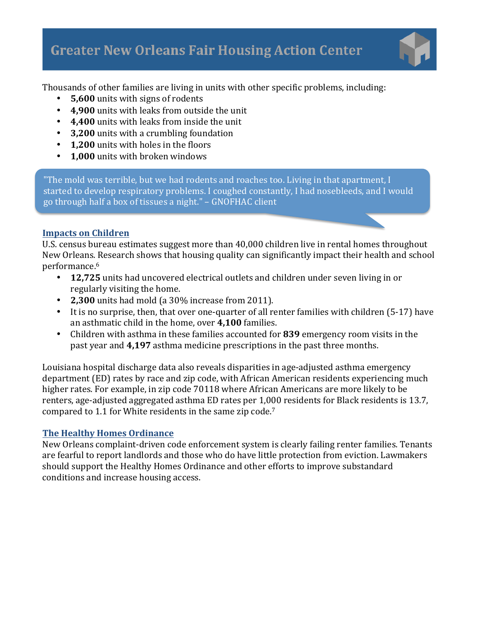

Thousands of other families are living in units with other specific problems, including:

- **5,600** units with signs of rodents
- 4,900 units with leaks from outside the unit
- 4,400 units with leaks from inside the unit
- **3,200** units with a crumbling foundation
- **1,200** units with holes in the floors
- **1.000** units with broken windows

"The mold was terrible, but we had rodents and roaches too. Living in that apartment, I started to develop respiratory problems. I coughed constantly, I had nosebleeds, and I would go through half a box of tissues a night." - GNOFHAC client

#### **Impacts on Children**

U.S. census bureau estimates suggest more than 40,000 children live in rental homes throughout New Orleans. Research shows that housing quality can significantly impact their health and school performance.6

- 12,725 units had uncovered electrical outlets and children under seven living in or regularly visiting the home.
- **2,300** units had mold (a 30% increase from 2011).
- It is no surprise, then, that over one-quarter of all renter families with children (5-17) have an asthmatic child in the home, over 4,100 families.
- Children with asthma in these families accounted for 839 emergency room visits in the past year and 4,197 asthma medicine prescriptions in the past three months.

Louisiana hospital discharge data also reveals disparities in age-adjusted asthma emergency department (ED) rates by race and zip code, with African American residents experiencing much higher rates. For example, in zip code 70118 where African Americans are more likely to be renters, age-adjusted aggregated asthma ED rates per 1,000 residents for Black residents is 13.7, compared to 1.1 for White residents in the same zip code.<sup>7</sup>

#### **The Healthy Homes Ordinance**

New Orleans complaint-driven code enforcement system is clearly failing renter families. Tenants are fearful to report landlords and those who do have little protection from eviction. Lawmakers should support the Healthy Homes Ordinance and other efforts to improve substandard conditions and increase housing access.